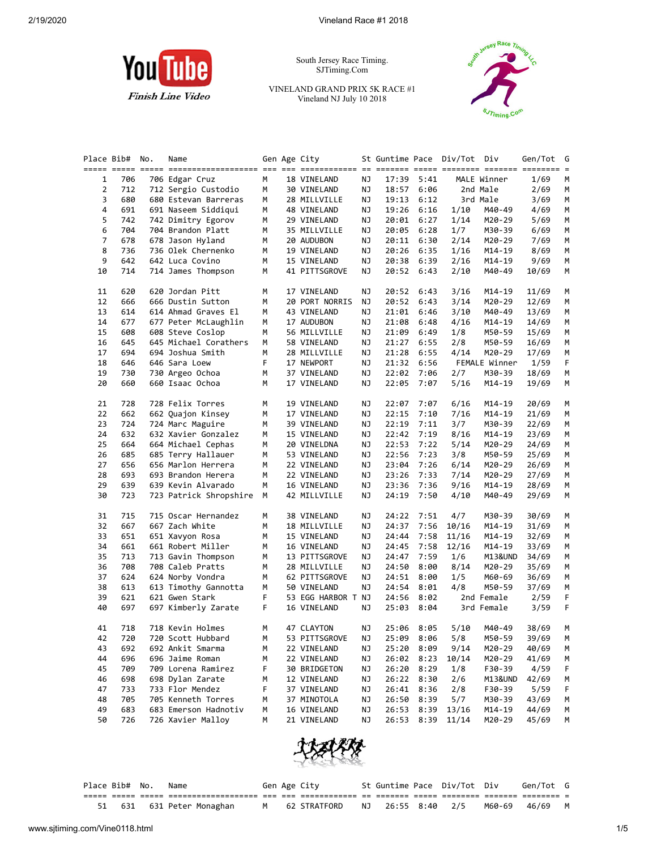

South Jersey Race Timing. SJTiming.Com

VINELAND GRAND PRIX 5K RACE #1 Vineland NJ July 10 2018



| Place Bib#     |     | No. | Name                   |   | Gen Age City       |    |       |            | St Guntime Pace Div/Tot | Div           | Gen/Tot | G |
|----------------|-----|-----|------------------------|---|--------------------|----|-------|------------|-------------------------|---------------|---------|---|
| 1              | 706 |     | 706 Edgar Cruz         | М | 18 VINELAND        | ΝJ | 17:39 | 5:41       |                         | MALE Winner   | 1/69    | м |
| $\overline{2}$ | 712 |     | 712 Sergio Custodio    | M | 30 VINELAND        | ΝJ | 18:57 | 6:06       |                         | 2nd Male      | 2/69    | М |
| 3              | 680 |     | 680 Estevan Barreras   | М | 28 MILLVILLE       | ΝJ | 19:13 | 6:12       |                         | 3rd Male      | 3/69    | М |
| 4              | 691 |     |                        |   |                    |    |       |            |                         |               |         |   |
|                |     |     | 691 Naseem Siddiqui    | М | 48 VINELAND        | ΝJ | 19:26 | 6:16       | 1/10                    | M40-49        | 4/69    | М |
| 5              | 742 |     | 742 Dimitry Egorov     | М | 29 VINELAND        | ΝJ | 20:01 | 6:27       | 1/14                    | M20-29        | 5/69    | М |
| 6              | 704 |     | 704 Brandon Platt      | М | 35 MILLVILLE       | ΝJ | 20:05 | 6:28       | 1/7                     | M30-39        | 6/69    | М |
| 7              | 678 |     | 678 Jason Hyland       | М | 20 AUDUBON         | ΝJ | 20:11 | 6:30       | 2/14                    | M20-29        | 7/69    | М |
| 8              | 736 |     | 736 Olek Chernenko     | М | 19 VINELAND        | ΝJ | 20:26 | 6:35       | 1/16                    | M14-19        | 8/69    | М |
| 9              | 642 |     | 642 Luca Covino        | М | 15 VINELAND        | ΝJ | 20:38 | 6:39       | 2/16                    | M14-19        | 9/69    | М |
| 10             | 714 |     | 714 James Thompson     | М | 41 PITTSGROVE      | ΝJ | 20:52 | 6:43       | 2/10                    | M40-49        | 10/69   | М |
| 11             | 620 |     | 620 Jordan Pitt        | М | 17 VINELAND        | ΝJ | 20:52 | 6:43       | 3/16                    | M14-19        | 11/69   | М |
| 12             | 666 |     | 666 Dustin Sutton      | М | 20 PORT NORRIS     | ΝJ | 20:52 | 6:43       | 3/14                    | M20-29        | 12/69   | М |
| 13             | 614 |     | 614 Ahmad Graves El    | М | 43 VINELAND        | ΝJ | 21:01 | 6:46       | 3/10                    | M40-49        | 13/69   | М |
| 14             | 677 |     | 677 Peter McLaughlin   | М | 17 AUDUBON         | ΝJ | 21:08 | 6:48       | 4/16                    | M14-19        | 14/69   | М |
| 15             | 608 |     | 608 Steve Coslop       | М | 56 MILLVILLE       | ΝJ | 21:09 | 6:49       | 1/8                     | M50-59        | 15/69   | М |
| 16             | 645 |     | 645 Michael Corathers  | М | 58 VINELAND        | ΝJ | 21:27 | 6:55       | 2/8                     | M50-59        | 16/69   | М |
| 17             | 694 |     | 694 Joshua Smith       | М | 28 MILLVILLE       | ΝJ | 21:28 | 6:55       | 4/14                    | M20-29        | 17/69   | М |
| 18             | 646 |     | 646 Sara Loew          | F | 17 NEWPORT         | ΝJ | 21:32 | 6:56       |                         | FEMALE Winner | 1/59    | F |
| 19             | 730 |     | 730 Argeo Ochoa        | М | 37 VINELAND        | ΝJ | 22:02 | 7:06       | 2/7                     | M30-39        | 18/69   | М |
| 20             | 660 |     | 660 Isaac Ochoa        | М | 17 VINELAND        | ΝJ | 22:05 | 7:07       | 5/16                    | M14-19        | 19/69   | М |
| 21             | 728 |     | 728 Felix Torres       | М | 19 VINELAND        | ΝJ | 22:07 | 7:07       | 6/16                    | M14-19        | 20/69   | М |
| 22             | 662 |     | 662 Quajon Kinsey      | М | 17 VINELAND        | ΝJ | 22:15 | 7:10       | 7/16                    | M14-19        | 21/69   | М |
| 23             | 724 |     | 724 Marc Maguire       | М | 39 VINELAND        | ΝJ | 22:19 | 7:11       | 3/7                     | M30-39        |         |   |
|                |     |     |                        |   |                    |    |       |            |                         |               | 22/69   | м |
| 24             | 632 |     | 632 Xavier Gonzalez    | М | 15 VINELAND        | ΝJ | 22:42 | 7:19       | 8/16                    | $M14-19$      | 23/69   | М |
| 25             | 664 |     | 664 Michael Cephas     | М | 20 VINELDNA        | ΝJ | 22:53 | 7:22       | 5/14                    | M20-29        | 24/69   | М |
| 26             | 685 |     | 685 Terry Hallauer     | М | 53 VINELAND        | ΝJ | 22:56 | 7:23       | 3/8                     | M50-59        | 25/69   | М |
| 27             | 656 |     | 656 Marlon Herrera     | М | 22 VINELAND        | ΝJ | 23:04 | 7:26       | 6/14                    | M20-29        | 26/69   | М |
| 28             | 693 |     | 693 Brandon Herera     | М | 22 VINELAND        | ΝJ | 23:26 | 7:33       | 7/14                    | M20-29        | 27/69   | М |
| 29             | 639 |     | 639 Kevin Alvarado     | м | 16 VINELAND        | ΝJ | 23:36 | 7:36       | 9/16                    | M14-19        | 28/69   | М |
| 30             | 723 |     | 723 Patrick Shropshire | м | 42 MILLVILLE       | ΝJ | 24:19 | 7:50       | 4/10                    | M40-49        | 29/69   | M |
| 31             | 715 |     | 715 Oscar Hernandez    | м | 38 VINELAND        | ΝJ | 24:22 | 7:51       | 4/7                     | M30-39        | 30/69   | М |
| 32             | 667 |     | 667 Zach White         | М | 18 MILLVILLE       | ΝJ | 24:37 | 7:56       | 10/16                   | M14-19        | 31/69   | М |
| 33             | 651 |     | 651 Xavyon Rosa        | М | 15 VINELAND        | ΝJ | 24:44 | 7:58       | 11/16                   | M14-19        | 32/69   | М |
| 34             | 661 |     | 661 Robert Miller      | М | 16 VINELAND        | ΝJ | 24:45 | 7:58       | 12/16                   | M14-19        | 33/69   | м |
| 35             | 713 |     | 713 Gavin Thompson     | М | 13 PITTSGROVE      | ΝJ | 24:47 | 7:59       | 1/6                     | M13&UND       | 34/69   | М |
| 36             | 708 |     | 708 Caleb Pratts       | м | 28 MILLVILLE       | ΝJ | 24:50 | 8:00       | 8/14                    | M20-29        | 35/69   | М |
| 37             | 624 |     | 624 Norby Vondra       | М | 62 PITTSGROVE      | ΝJ | 24:51 | 8:00       | 1/5                     | M60-69        | 36/69   | М |
| 38             | 613 |     | 613 Timothy Gannotta   | М | 50 VINELAND        | ΝJ | 24:54 | 8:01       | 4/8                     | M50-59        | 37/69   | M |
| 39             | 621 |     | 621 Gwen Stark         | F | 53 EGG HARBOR T NJ |    | 24:56 | 8:02       |                         | 2nd Female    | 2/59    | F |
| 40             | 697 |     | 697 Kimberly Zarate    | F | 16 VINELAND        | ΝJ | 25:03 | 8:04       |                         | 3rd Female    | 3/59    | F |
| 41             | 718 |     | 718 Kevin Holmes       | М | 47 CLAYTON         | ΝJ |       | 25:06 8:05 | 5/10                    | M40-49        | 38/69   | М |
| 42             | 720 |     | 720 Scott Hubbard      | M | 53 PITTSGROVE      | ΝJ | 25:09 | 8:06       | 5/8                     | M50-59        | 39/69   | M |
| 43             | 692 |     | 692 Ankit Smarma       | М | 22 VINELAND        | ΝJ | 25:20 | 8:09       | 9/14                    | M20-29        | 40/69   | М |
|                |     |     |                        |   |                    |    | 26:02 |            |                         |               |         | М |
| 44             | 696 |     | 696 Jaime Roman        | м | 22 VINELAND        | ΝJ |       | 8:23       | 10/14                   | M20-29        | 41/69   | F |
| 45             | 709 |     | 709 Lorena Ramirez     | F | 30 BRIDGETON       | ΝJ | 26:20 | 8:29       | 1/8                     | F30-39        | 4/59    |   |
| 46             | 698 |     | 698 Dylan Zarate       | м | 12 VINELAND        | ΝJ | 26:22 | 8:30       | 2/6                     | M13&UND       | 42/69   | М |
| 47             | 733 |     | 733 Flor Mendez        | F | 37 VINELAND        | ΝJ | 26:41 | 8:36       | 2/8                     | F30-39        | 5/59    |   |
| 48             | 705 |     | 705 Kenneth Torres     | М | 37 MINOTOLA        | ΝJ | 26:50 | 8:39       | 5/7                     | M30-39        | 43/69   | М |
| 49             | 683 |     | 683 Emerson Hadnotiv   | м | 16 VINELAND        | ΝJ | 26:53 | 8:39       | 13/16                   | M14-19        | 44/69   | М |
| 50             | 726 |     | 726 Xavier Malloy      | м | 21 VINELAND        | ΝJ | 26:53 | 8:39       | 11/14                   | M20-29        | 45/69   | М |



| Place Bib# No. Name |  |                           |  | Gen Age City     |                   | St Guntime Pace Div/Tot Div |              | Gen/Tot G |  |
|---------------------|--|---------------------------|--|------------------|-------------------|-----------------------------|--------------|-----------|--|
|                     |  |                           |  |                  |                   |                             |              |           |  |
|                     |  | 51 631 631 Peter Monaghan |  | M   62 STRATFORD | NJ 26:55 8:40 2/5 |                             | M60-69 46/69 |           |  |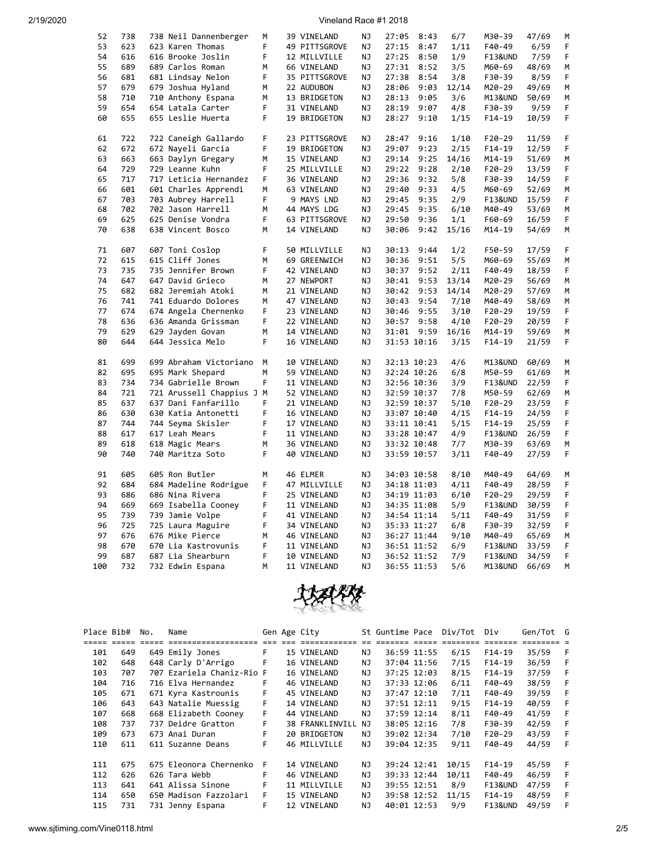| 52  | 738 | 738 Neil Dannenberger     | М  | 39 VINELAND   | ΝJ        | 27:05 | 8:43        | 6/7   | M30-39   | 47/69 | м  |
|-----|-----|---------------------------|----|---------------|-----------|-------|-------------|-------|----------|-------|----|
| 53  | 623 | 623 Karen Thomas          | F. | 49 PITTSGROVE | NJ.       | 27:15 | 8:47        | 1/11  | F40-49   | 6/59  | F  |
| 54  | 616 | 616 Brooke Joslin         | F  | 12 MILLVILLE  | NJ        | 27:25 | 8:50        | 1/9   | F13&UND  | 7/59  | F  |
| 55  | 689 | 689 Carlos Roman          | М  | 66 VINELAND   | ΝJ        | 27:31 | 8:52        | 3/5   | M60-69   | 48/69 | М  |
| 56  | 681 | 681 Lindsay Nelon         | F  | 35 PITTSGROVE | ΝJ        | 27:38 | 8:54        | 3/8   | F30-39   | 8/59  | F  |
|     |     |                           |    |               |           |       |             |       |          |       |    |
| 57  | 679 | 679 Joshua Hyland         | М  | 22 AUDUBON    | ΝJ        | 28:06 | 9:03        | 12/14 | M20-29   | 49/69 | М  |
| 58  | 710 | 710 Anthony Espana        | M  | 13 BRIDGETON  | ΝJ        | 28:13 | 9:05        | 3/6   | M13&UND  | 50/69 | м  |
| 59  | 654 | 654 Latala Carter         | F  | 31 VINELAND   | ΝJ        | 28:19 | 9:07        | 4/8   | F30-39   | 9/59  | F. |
| 60  | 655 | 655 Leslie Huerta         | F  | 19 BRIDGETON  | NJ        | 28:27 | 9:10        | 1/15  | $F14-19$ | 10/59 | F  |
|     |     |                           |    |               |           |       |             |       |          |       |    |
| 61  | 722 | 722 Caneigh Gallardo      | F  | 23 PITTSGROVE | NJ        | 28:47 | 9:16        | 1/10  | $F20-29$ | 11/59 | F  |
| 62  | 672 | 672 Nayeli Garcia         | F  | 19 BRIDGETON  | ΝJ        | 29:07 | 9:23        | 2/15  | $F14-19$ | 12/59 | F  |
| 63  | 663 |                           | M  |               | ΝJ        |       | 9:25        |       |          | 51/69 |    |
|     |     | 663 Daylyn Gregary        |    | 15 VINELAND   |           | 29:14 |             | 14/16 | M14-19   |       | м  |
| 64  | 729 | 729 Leanne Kuhn           | F. | 25 MILLVILLE  | NJ        | 29:22 | 9:28        | 2/10  | F20-29   | 13/59 | F  |
| 65  | 717 | 717 Leticia Hernandez     | F. | 36 VINELAND   | ΝJ        | 29:36 | 9:32        | 5/8   | F30-39   | 14/59 | F  |
| 66  | 601 | 601 Charles Apprendi      | М  | 63 VINELAND   | ΝJ        | 29:40 | 9:33        | 4/5   | M60-69   | 52/69 | М  |
| 67  | 703 | 703 Aubrey Harrell        | F  | 9 MAYS LND    | ΝJ        | 29:45 | 9:35        | 2/9   | F13&UND  | 15/59 | F  |
| 68  | 702 | 702 Jason Harrell         | M  | 44 MAYS LDG   | ΝJ        | 29:45 | 9:35        | 6/10  | M40-49   | 53/69 | м  |
| 69  | 625 | 625 Denise Vondra         | F  | 63 PITTSGROVE | NJ        | 29:50 | 9:36        | 1/1   | F60-69   | 16/59 | F  |
| 70  | 638 | 638 Vincent Bosco         | M  | 14 VINELAND   | NJ        | 30:06 | 9:42        | 15/16 | M14-19   | 54/69 | М  |
|     |     |                           |    |               |           |       |             |       |          |       |    |
|     |     |                           |    |               |           |       |             |       |          |       |    |
| 71  | 607 | 607 Toni Coslop           | F  | 50 MILLVILLE  | ΝJ        | 30:13 | 9:44        | 1/2   | F50-59   | 17/59 | F  |
| 72  | 615 | 615 Cliff Jones           | M  | 69 GREENWICH  | ΝJ        | 30:36 | 9:51        | 5/5   | M60-69   | 55/69 | М  |
| 73  | 735 | 735 Jennifer Brown        | F  | 42 VINELAND   | ΝJ        | 30:37 | 9:52        | 2/11  | F40-49   | 18/59 | F. |
| 74  | 647 | 647 David Grieco          | М  | 27 NEWPORT    | ΝJ        | 30:41 | 9:53        | 13/14 | M20-29   | 56/69 | М  |
| 75  | 682 | 682 Jeremiah Atoki        | М  | 21 VINELAND   | ΝJ        | 30:42 | 9:53        | 14/14 | M20-29   | 57/69 | М  |
| 76  | 741 | 741 Eduardo Dolores       | М  | 47 VINELAND   | ΝJ        | 30:43 | 9:54        | 7/10  | M40-49   | 58/69 | М  |
| 77  | 674 | 674 Angela Chernenko      | F  | 23 VINELAND   | ΝJ        | 30:46 | 9:55        | 3/10  | F20-29   | 19/59 | F  |
| 78  | 636 | 636 Amanda Grissman       | F. | 22 VINELAND   | ΝJ        | 30:57 | 9:58        | 4/10  | F20-29   | 20/59 | F  |
| 79  | 629 | 629 Jayden Govan          | M  | 14 VINELAND   | NJ        | 31:01 | 9:59        | 16/16 | M14-19   | 59/69 | М  |
| 80  | 644 |                           | F  |               | ΝJ        |       |             |       | $F14-19$ |       | F  |
|     |     | 644 Jessica Melo          |    | 16 VINELAND   |           |       | 31:53 10:16 | 3/15  |          | 21/59 |    |
|     |     |                           |    |               |           |       |             |       |          |       |    |
| 81  | 699 | 699 Abraham Victoriano    | M  | 10 VINELAND   | ΝJ        |       | 32:13 10:23 | 4/6   | M13&UND  | 60/69 | М  |
| 82  | 695 | 695 Mark Shepard          | M  | 59 VINELAND   | ΝJ        |       | 32:24 10:26 | 6/8   | M50-59   | 61/69 | м  |
| 83  | 734 | 734 Gabrielle Brown       | F  | 11 VINELAND   | ΝJ        |       | 32:56 10:36 | 3/9   | F13&UND  | 22/59 | F  |
| 84  | 721 | 721 Arussell Chappius J M |    | 52 VINELAND   | NJ        |       | 32:59 10:37 | 7/8   | M50-59   | 62/69 | М  |
| 85  | 637 | 637 Dani Fanfarillo       | F  | 21 VINELAND   | ΝJ        |       | 32:59 10:37 | 5/10  | F20-29   | 23/59 | F  |
| 86  | 630 | 630 Katia Antonetti       | F  | 16 VINELAND   | NJ        |       | 33:07 10:40 | 4/15  | $F14-19$ | 24/59 | F  |
| 87  | 744 | 744 Seyma Skisler         | F  | 17 VINELAND   | ΝJ        |       | 33:11 10:41 | 5/15  | $F14-19$ | 25/59 | F  |
| 88  | 617 | 617 Leah Mears            | F  | 11 VINELAND   | ΝJ        |       | 33:28 10:47 | 4/9   | F13&UND  | 26/59 | F  |
| 89  | 618 | 618 Magic Mears           | M  | 36 VINELAND   | NJ        |       | 33:32 10:48 | 7/7   | M30-39   | 63/69 | М  |
| 90  | 740 |                           | F. |               | ΝJ        |       |             |       | F40-49   |       | F  |
|     |     | 740 Maritza Soto          |    | 40 VINELAND   |           |       | 33:59 10:57 | 3/11  |          | 27/59 |    |
|     |     |                           |    |               |           |       |             |       |          |       |    |
| 91  | 605 | 605 Ron Butler            | М  | 46 ELMER      | ΝJ        |       | 34:03 10:58 | 8/10  | M40-49   | 64/69 | М  |
| 92  | 684 | 684 Madeline Rodrigue     | F. | 47 MILLVILLE  | ΝJ        |       | 34:18 11:03 | 4/11  | F40-49   | 28/59 | F  |
| 93  | 686 | 686 Nina Rivera           | F. | 25 VINELAND   | NJ        |       | 34:19 11:03 | 6/10  | F20-29   | 29/59 | F  |
| 94  | 669 | 669 Isabella Cooney       | F  | 11 VINELAND   | ΝJ        |       | 34:35 11:08 | 5/9   | F13&UND  | 30/59 | F  |
| 95  | 739 | 739 Jamie Volpe           | F  | 41 VINELAND   | ΝJ        |       | 34:54 11:14 | 5/11  | F40-49   | 31/59 | F  |
| 96  | 725 | 725 Laura Maguire         | F  | 34 VINELAND   | ΝJ        |       | 35:33 11:27 | 6/8   | F30-39   | 32/59 | F  |
| 97  | 676 | 676 Mike Pierce           | М  | 46 VINELAND   | ΝJ        |       | 36:27 11:44 | 9/10  | M40-49   | 65/69 | М  |
| 98  | 670 | 670 Lia Kastrovunis       | F  | 11 VINELAND   | ΝJ        |       | 36:51 11:52 | 6/9   | F13&UND  | 33/59 | F  |
| 99  | 687 | 687 Lia Shearburn         | F  | 10 VINELAND   | NJ        |       | 36:52 11:52 | 7/9   | F13&UND  | 34/59 | F  |
| 100 | 732 | 732 Edwin Espana          | M  | 11 VINELAND   | <b>NJ</b> |       | 36:55 11:53 | 5/6   | M13&UND  | 66/69 | M  |
|     |     |                           |    |               |           |       |             |       |          |       |    |



| Place Bib# |     | No. | Name                      |    | Gen Age City    |     | St Guntime Pace |             | Div/Tot | Div                | Gen/Tot G |   |
|------------|-----|-----|---------------------------|----|-----------------|-----|-----------------|-------------|---------|--------------------|-----------|---|
|            |     |     |                           |    |                 |     |                 |             |         |                    |           |   |
| 101        | 649 |     | 649 Emily Jones           | F. | 15 VINELAND     | NJ  |                 | 36:59 11:55 | 6/15    | $F14-19$           | 35/59     | F |
| 102        | 648 |     | 648 Carly D'Arrigo        | F  | 16 VINELAND     | NJ  |                 | 37:04 11:56 | 7/15    | $F14-19$           | 36/59     |   |
| 103        | 707 |     | 707 Ezariela Chaniz-Rio F |    | 16 VINELAND     | NJ  |                 | 37:25 12:03 | 8/15    | $F14-19$           | 37/59     |   |
| 104        | 716 |     | 716 Elva Hernandez        | F. | 46 VINELAND     | NJ  |                 | 37:33 12:06 | 6/11    | F40-49             | 38/59     |   |
| 105        | 671 |     | 671 Kyra Kastrounis       | F. | 45 VINELAND     | ΝJ  |                 | 37:47 12:10 | 7/11    | F40-49             | 39/59     |   |
| 106        | 643 |     | 643 Natalie Muessig       | F. | 14 VINELAND     | NJ  |                 | 37:51 12:11 | 9/15    | $F14-19$           | 40/59     |   |
| 107        | 668 |     | 668 Elizabeth Cooney      | F. | 44 VINELAND     | NJ  |                 | 37:59 12:14 | 8/11    | F40-49             | 41/59     |   |
| 108        | 737 |     | 737 Deidre Gratton        | F  | 38 FRANKLINVILL | NJ  |                 | 38:05 12:16 | 7/8     | F30-39             | 42/59     | F |
| 109        | 673 |     | 673 Anai Duran            | F  | 20 BRIDGETON    | NJ. |                 | 39:02 12:34 | 7/10    | $F20-29$           | 43/59     | F |
| 110        | 611 |     | 611 Suzanne Deans         | F  | 46 MILLVILLE    | NJ. |                 | 39:04 12:35 | 9/11    | F40-49             | 44/59     | F |
|            |     |     |                           |    |                 |     |                 |             |         |                    |           |   |
| 111        | 675 |     | 675 Eleonora Chernenko    | F  | 14 VINELAND     | NJ. |                 | 39:24 12:41 | 10/15   | $F14-19$           | 45/59     | F |
| 112        | 626 |     | 626 Tara Webb             | F. | 46 VINELAND     | NJ  |                 | 39:33 12:44 | 10/11   | F40-49             | 46/59     | F |
| 113        | 641 |     | 641 Alissa Sinone         | F. | 11 MILLVILLE    | NJ  |                 | 39:55 12:51 | 8/9     | <b>F13&amp;UND</b> | 47/59     | F |
| 114        | 650 |     | 650 Madison Fazzolari     | F. | 15 VINELAND     | NJ. |                 | 39:58 12:52 | 11/15   | $F14-19$           | 48/59     |   |
| 115        | 731 |     | 731 Jenny Espana          | F  | 12 VINELAND     | NJ  |                 | 40:01 12:53 | 9/9     | <b>F13&amp;UND</b> | 49/59     |   |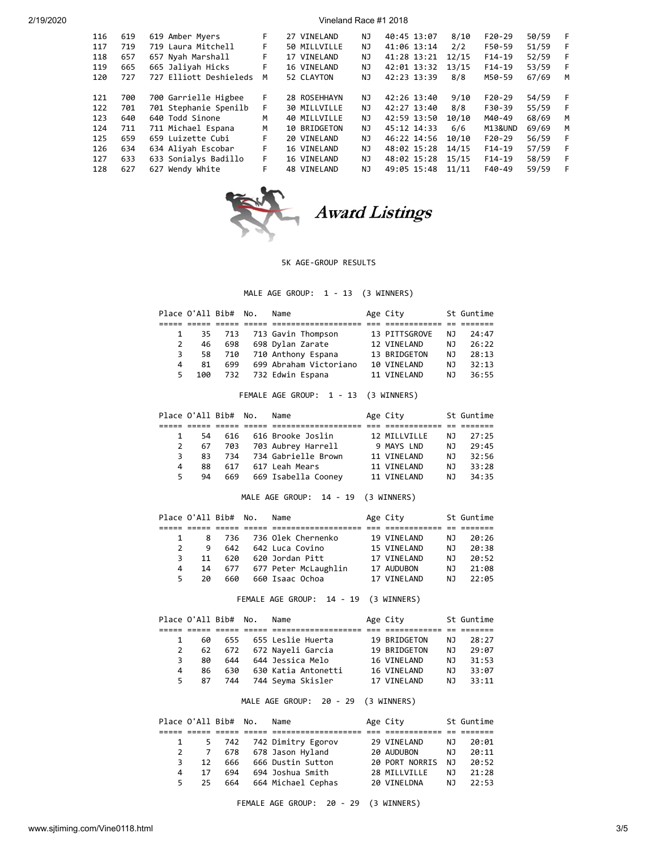| 116 | 619 | 619 Amber Myers        | F. | 27 VINELAND  | NJ  | 40:45 13:07 | 8/10  | $F20-29$ | 50/59 | F |
|-----|-----|------------------------|----|--------------|-----|-------------|-------|----------|-------|---|
| 117 | 719 | 719 Laura Mitchell     | F  | 50 MILLVILLE | ΝJ  | 41:06 13:14 | 2/2   | F50-59   | 51/59 | F |
| 118 | 657 | 657 Nyah Marshall      | F. | 17 VINELAND  | NJ  | 41:28 13:21 | 12/15 | $F14-19$ | 52/59 | F |
| 119 | 665 | 665 Jaliyah Hicks      | F  | 16 VINELAND  | ΝJ  | 42:01 13:32 | 13/15 | $F14-19$ | 53/59 | F |
| 120 | 727 | 727 Elliott Deshieleds | M  | 52 CLAYTON   | NJ  | 42:23 13:39 | 8/8   | M50-59   | 67/69 | M |
|     |     |                        |    |              |     |             |       |          |       |   |
| 121 | 700 | 700 Garrielle Higbee   | F  | 28 ROSEHHAYN | NJ  | 42:26 13:40 | 9/10  | $F20-29$ | 54/59 | F |
| 122 | 701 | 701 Stephanie Spenilb  | F  | 30 MILLVILLE | NJ  | 42:27 13:40 | 8/8   | F30-39   | 55/59 | F |
| 123 | 640 | 640 Todd Sinone        | M  | 40 MILLVILLE | NJ  | 42:59 13:50 | 10/10 | M40-49   | 68/69 | M |
| 124 | 711 | 711 Michael Espana     | M  | 10 BRIDGETON | NJ  | 45:12 14:33 | 6/6   | M13&UND  | 69/69 | M |
| 125 | 659 | 659 Luizette Cubi      | F  | 20 VINELAND  | NJ. | 46:22 14:56 | 10/10 | $F20-29$ | 56/59 | F |
| 126 | 634 | 634 Aliyah Escobar     | F. | 16 VINELAND  | NJ  | 48:02 15:28 | 14/15 | $F14-19$ | 57/59 | F |
| 127 | 633 | 633 Sonialys Badillo   | F. | 16 VINELAND  | NJ. | 48:02 15:28 | 15/15 | $F14-19$ | 58/59 | F |
| 128 | 627 | 627 Wendy White        | F  | 48 VINELAND  | NJ. | 49:05 15:48 | 11/11 | F40-49   | 59/59 | F |
|     |     |                        |    |              |     |             |       |          |       |   |



# Award Listings

#### 5K AGE-GROUP RESULTS

MALE AGE GROUP: 1 - 13 (3 WINNERS)

|    |     | Place O'All Bib# No. | Name                      | Age City      |     | St Guntime |
|----|-----|----------------------|---------------------------|---------------|-----|------------|
|    |     |                      |                           |               |     |            |
|    |     |                      | 35 713 713 Gavin Thompson | 13 PITTSGROVE | NJ. | 24:47      |
| 2  | 46  | 698                  | 698 Dylan Zarate          | 12 VINELAND   | NJ. | 26:22      |
| 3  | 58  | 710                  | 710 Anthony Espana        | 13 BRIDGETON  | NJ. | 28:13      |
| 4  | 81  | 699                  | 699 Abraham Victoriano    | 10 VINELAND   | NJ. | 32:13      |
| 5. | 100 |                      | 732   732 Edwin Espana    | 11 VINELAND   | NJ. | 36:55      |

# FEMALE AGE GROUP: 1 - 13 (3 WINNERS)

|    |     | Place O'All Bib# No. | Name                    | Age City     |     | St Guntime |
|----|-----|----------------------|-------------------------|--------------|-----|------------|
|    |     |                      |                         |              |     |            |
|    | 54  |                      | 616 616 Brooke Joslin   | 12 MILLVILLE | NJ. | 27:25      |
| 2  | 67  | 703                  | 703 Aubrey Harrell      | 9 MAYS LND   | NJ. | 29:45      |
| 3. | 83. |                      | 734 734 Gabrielle Brown | 11 VINELAND  | NJ. | 32:56      |
| 4  | 88  | 617                  | 617 Leah Mears          | 11 VINELAND  | NJ. | 33:28      |
| 5. | 94  | 669                  | 669 Isabella Coonev     | 11 VINELAND  | NJ. | 34:35      |

# MALE AGE GROUP: 14 - 19 (3 WINNERS)

|              |    | Place O'All Bib# No. | Name                   | Age City     |     | St Guntime |
|--------------|----|----------------------|------------------------|--------------|-----|------------|
|              |    |                      |                        |              |     |            |
| $\mathbf{1}$ | 8  |                      | 736 736 Olek Chernenko | 19 VINELAND  | NJ. | 20:26      |
| 2            | 9  | 642                  | 642 Luca Covino        | 15 VINELAND  | NJ. | 20:38      |
| 3.           | 11 | 620                  | 620 Jordan Pitt        | 17 VINELAND  | NJ. | 20:52      |
| 4            | 14 | 677                  | 677 Peter McLaughlin   | 17 AUDUBON   | NJ. | 21:08      |
| 5.           | 2Q | 660                  | 660 Isaac Ochoa        | 17 VTNFI AND | NJ. | 22:05      |

FEMALE AGE GROUP: 14 - 19 (3 WINNERS)

|    |    | Place O'All Bib# No. | Name                  | Age City     |     | St Guntime |
|----|----|----------------------|-----------------------|--------------|-----|------------|
|    |    |                      |                       |              |     |            |
|    | 60 |                      | 655 655 Leslie Huerta | 19 BRIDGETON | NJ. | 28:27      |
| 2  | 62 | 672                  | 672 Naveli Garcia     | 19 BRIDGETON | NJ. | 29:07      |
| 3. | 80 | 644                  | 644 Jessica Melo      | 16 VINELAND  | NJ. | 31:53      |
| 4  | 86 | 630                  | 630 Katia Antonetti   | 16 VINELAND  | NJ. | 33:07      |
| 5. | 87 | 744                  | 744 Seyma Skisler     | 17 VINELAND  | NJ. | 33:11      |

# MALE AGE GROUP: 20 - 29 (3 WINNERS)

| Place O'All Bib# No.  |     | Name                     | Age City       |     | St Guntime |
|-----------------------|-----|--------------------------|----------------|-----|------------|
|                       |     |                          |                |     |            |
|                       |     | 5 742 742 Dimitry Egorov | 29 VINELAND    | NJ. | 20:01      |
| 2 7                   | 678 | 678 Jason Hyland         | 20 AUDUBON     | NJ. | 20:11      |
| 12 <sup>1</sup><br>3. | 666 | 666 Dustin Sutton        | 20 PORT NORRIS | NJ. | 20:52      |
| 17<br>4               | 694 | 694 Joshua Smith         | 28 MILLVILLE   | NJ. | 21:28      |
| 25<br>5.              | 664 | 664 Michael Cephas       | 20 VINELDNA    | NJ. | 22:53      |

FEMALE AGE GROUP: 20 - 29 (3 WINNERS)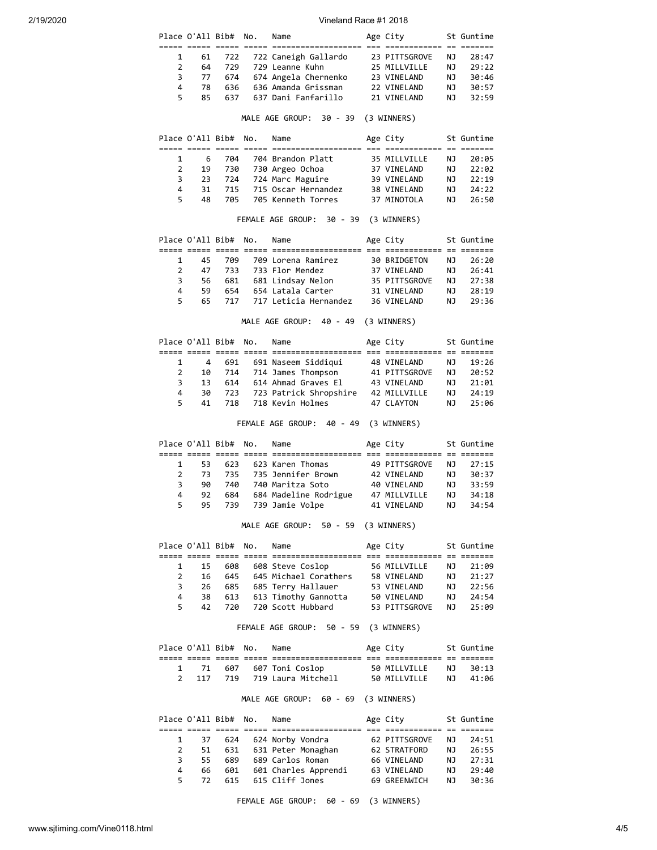|    |     | Place O'All Bib# No. | Name                       | Age City      |     | St Guntime |
|----|-----|----------------------|----------------------------|---------------|-----|------------|
|    |     |                      |                            |               |     |            |
|    | 61  |                      | 722 722 Caneigh Gallardo   | 23 PITTSGROVE | NJ. | 28:47      |
| 2  | 64  | 729                  | 729 Leanne Kuhn            | 25 MILLVILLE  | NJ. | 29:22      |
| 3  | 77  | 674                  | 674 Angela Chernenko       | 23 VINELAND   | NJ. | 30:46      |
| 4  | 78  | 636                  | 636 Amanda Grissman        | 22 VINELAND   | NJ. | 30:57      |
| 5. | 85. | 637                  | 637 Dani Fanfarillo        | 21 VINELAND   | NJ. | 32:59      |
|    |     |                      | $\cdots$ $\cdots$ $\cdots$ |               |     |            |

#### MALE AGE GROUP: 30 - 39 (3 WINNERS)

|    |    | Place O'All Bib# No. | Name                    | Age City     |     | St Guntime |
|----|----|----------------------|-------------------------|--------------|-----|------------|
|    |    |                      |                         |              |     |            |
|    | 6  | 704                  | 704 Brandon Platt       | 35 MILLVILLE | NJ. | 20:05      |
| 2  |    |                      | 19 730 730 Argeo Ochoa  | 37 VINELAND  | NJ. | 22:02      |
| 3  |    |                      | 23 724 724 Marc Maguire | 39 VINELAND  | NJ. | 22:19      |
| 4  | 31 | 715                  | 715 Oscar Hernandez     | 38 VINELAND  | NJ. | 24:22      |
| 5. | 48 | 705                  | 705 Kenneth Torres      | 37 MINOTOLA  | NJ. | 26:50      |

#### FEMALE AGE GROUP: 30 - 39 (3 WINNERS)

|               | Place O'All Bib# No. |     | Name                        | Age City      |     | St Guntime |  |
|---------------|----------------------|-----|-----------------------------|---------------|-----|------------|--|
|               |                      |     |                             |               |     |            |  |
|               | 45                   | 709 | 709 Lorena Ramirez          | 30 BRIDGETON  | NJ. | 26:20      |  |
| $\mathcal{P}$ | 47                   |     | 733 733 Flor Mendez         | 37 VINELAND   | NJ. | 26:41      |  |
| 3             | 56 —                 |     | 681 681 Lindsay Nelon       | 35 PITTSGROVE | NJ. | 27:38      |  |
| 4             | 59.                  | 654 | 654 Latala Carter           | 31 VINELAND   | NJ. | 28:19      |  |
| 5.            | 65.                  |     | 717 - 717 Leticia Hernandez | 36 VINELAND   | NJ. | 79:36      |  |
|               |                      |     |                             |               |     |            |  |

MALE AGE GROUP: 40 - 49 (3 WINNERS)

|    | Place O'All Bib# No. |     | Name                       | Age City      |     | St Guntime |
|----|----------------------|-----|----------------------------|---------------|-----|------------|
|    |                      |     |                            |               |     |            |
|    | $\overline{4}$       |     | 691 691 Naseem Siddigui    | 48 VINELAND   | NJ. | 19:26      |
| 2  | 10                   |     | 714 714 James Thompson     | 41 PITTSGROVE | NJ. | 20:52      |
| 3. | 13                   | 614 | 614 Ahmad Graves El        | 43 VINELAND   | NJ. | 21:01      |
| 4  | 30                   |     | 723 723 Patrick Shropshire | 42 MILLVILLE  | NJ. | 24:19      |
| 5. | 41                   |     | 718 718 Kevin Holmes       | 47 CLAYTON    | NJ. | 25:06      |
|    |                      |     |                            |               |     |            |

FEMALE AGE GROUP: 40 - 49 (3 WINNERS)

|               |     | Place O'All Bib# No. | Name                   | Age City      |     | St Guntime |
|---------------|-----|----------------------|------------------------|---------------|-----|------------|
|               |     |                      |                        |               |     |            |
|               | 53. | 623                  | 623 Karen Thomas       | 49 PITTSGROVE | NJ. | 27:15      |
| $\mathcal{P}$ | 73. |                      | 735 735 Jennifer Brown | 42 VINELAND   | NJ. | 30:37      |
| 3             | 90  | 740                  | 740 Maritza Soto       | 40 VINELAND   | NJ. | 33:59      |
| 4             | 92  | 684                  | 684 Madeline Rodrigue  | 47 MILLVILLE  | NJ. | 34:18      |
| 5.            | 95  | 739                  | 739 Jamie Volpe        | 41 VINELAND   | NJ. | 34:54      |

#### MALE AGE GROUP: 50 - 59 (3 WINNERS)

|    |    | Place O'All Bib# No. | Name                  | Age City      |     | St Guntime |
|----|----|----------------------|-----------------------|---------------|-----|------------|
|    |    |                      |                       |               |     |            |
|    | 15 | 608                  | 608 Steve Coslop      | 56 MILLVILLE  | NJ. | 21:09      |
| 2  | 16 | 645                  | 645 Michael Corathers | 58 VINELAND   | NJ. | 21:27      |
| 3  | 26 | 685                  | 685 Terry Hallauer    | 53 VINELAND   | NJ. | 22:56      |
| 4  | 38 | 613                  | 613 Timothy Gannotta  | 50 VINELAND   | NJ. | 24:54      |
| 5. | 42 | 720                  | 720 Scott Hubbard     | 53 PITTSGROVE | N J | 25:09      |
|    |    |                      |                       |               |     |            |

FEMALE AGE GROUP: 50 - 59 (3 WINNERS)

|       | Place O'All Bib# No. | Name                     | Age City     | St Guntime |
|-------|----------------------|--------------------------|--------------|------------|
|       |                      |                          |              |            |
|       |                      | 1 71 607 607 Toni Coslop | 50 MILLVILLE | NJ 30:13   |
| 2 117 |                      | 719 719 Laura Mitchell   | 50 MILLVILLE | NJ 41:06   |

MALE AGE GROUP: 60 - 69 (3 WINNERS)

|    |     | Place O'All Bib# No. | Name                 | Age City      |     | St Guntime |
|----|-----|----------------------|----------------------|---------------|-----|------------|
|    |     |                      |                      |               |     |            |
|    | 37  | 624                  | 624 Norby Vondra     | 62 PITTSGROVE | NJ. | 24:51      |
| 2  | 51  | 631                  | 631 Peter Monaghan   | 62 STRATFORD  | NJ. | 26:55      |
| 3. | 55. | 689                  | 689 Carlos Roman     | 66 VINELAND   | NJ. | 27:31      |
| 4  | 66  | 601                  | 601 Charles Apprendi | 63 VINELAND   | NJ. | 29:40      |
| 5. | 72. | 615                  | 615 Cliff Jones      | 69 GREENWICH  | NJ. | 30:36      |

FEMALE AGE GROUP: 60 - 69 (3 WINNERS)